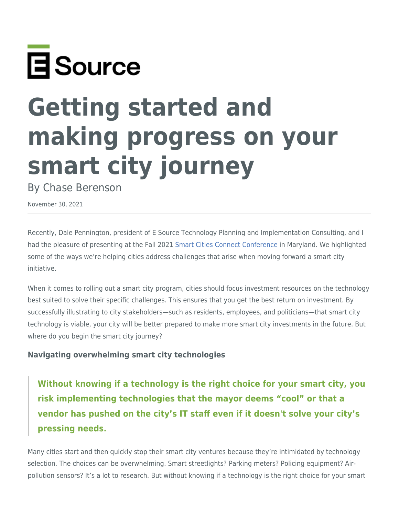

## **Getting started and making progress on your smart city journey**

By Chase Berenson

November 30, 2021

Recently, Dale Pennington, president of E Source Technology Planning and Implementation Consulting, and I had the pleasure of presenting at the Fall 2021 [Smart Cities Connect Conference](https://fall.smartcitiesconnect.org/) in Maryland. We highlighted some of the ways we're helping cities address challenges that arise when moving forward a smart city initiative.

When it comes to rolling out a smart city program, cities should focus investment resources on the technology best suited to solve their specific challenges. This ensures that you get the best return on investment. By successfully illustrating to city stakeholders—such as residents, employees, and politicians—that smart city technology is viable, your city will be better prepared to make more smart city investments in the future. But where do you begin the smart city journey?

## **Navigating overwhelming smart city technologies**

**Without knowing if a technology is the right choice for your smart city, you risk implementing technologies that the mayor deems "cool" or that a vendor has pushed on the city's IT staff even if it doesn't solve your city's pressing needs.**

Many cities start and then quickly stop their smart city ventures because they're intimidated by technology selection. The choices can be overwhelming. Smart streetlights? Parking meters? Policing equipment? Airpollution sensors? It's a lot to research. But without knowing if a technology is the right choice for your smart